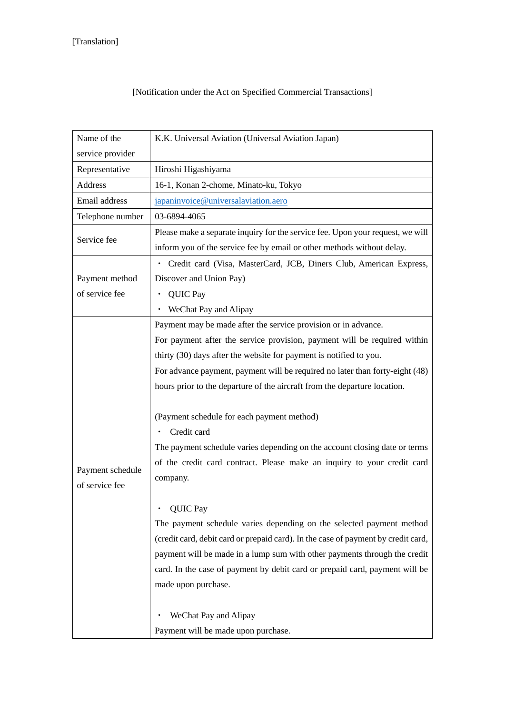| Name of the                        | K.K. Universal Aviation (Universal Aviation Japan)                                |
|------------------------------------|-----------------------------------------------------------------------------------|
| service provider                   |                                                                                   |
| Representative                     | Hiroshi Higashiyama                                                               |
| Address                            | 16-1, Konan 2-chome, Minato-ku, Tokyo                                             |
| Email address                      | japaninvoice@universalaviation.aero                                               |
| Telephone number                   | 03-6894-4065                                                                      |
| Service fee                        | Please make a separate inquiry for the service fee. Upon your request, we will    |
|                                    | inform you of the service fee by email or other methods without delay.            |
|                                    | Credit card (Visa, MasterCard, JCB, Diners Club, American Express,                |
| Payment method                     | Discover and Union Pay)                                                           |
| of service fee                     | <b>QUIC Pay</b>                                                                   |
|                                    | WeChat Pay and Alipay                                                             |
|                                    | Payment may be made after the service provision or in advance.                    |
|                                    | For payment after the service provision, payment will be required within          |
|                                    | thirty (30) days after the website for payment is notified to you.                |
|                                    | For advance payment, payment will be required no later than forty-eight (48)      |
|                                    | hours prior to the departure of the aircraft from the departure location.         |
|                                    | (Payment schedule for each payment method)                                        |
|                                    | Credit card                                                                       |
| Payment schedule<br>of service fee | The payment schedule varies depending on the account closing date or terms        |
|                                    | of the credit card contract. Please make an inquiry to your credit card           |
|                                    | company.                                                                          |
|                                    |                                                                                   |
|                                    | QUIC Pay                                                                          |
|                                    | The payment schedule varies depending on the selected payment method              |
|                                    | (credit card, debit card or prepaid card). In the case of payment by credit card, |
|                                    | payment will be made in a lump sum with other payments through the credit         |
|                                    | card. In the case of payment by debit card or prepaid card, payment will be       |
|                                    | made upon purchase.                                                               |
|                                    | WeChat Pay and Alipay                                                             |
|                                    | Payment will be made upon purchase.                                               |

## [Notification under the Act on Specified Commercial Transactions]